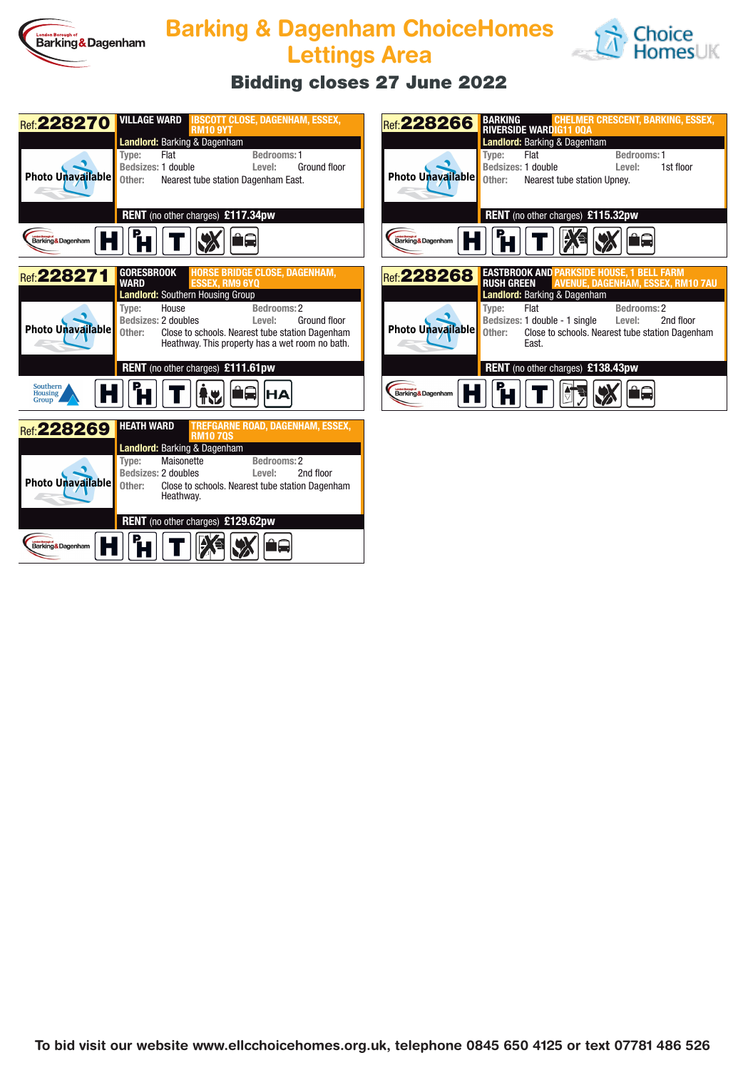

## **Barking & Dagenham ChoiceHomes Lettings Area**



## **Bidding closes 27 June 2022**

| <b>Landlord: Barking &amp; Dagenham</b><br><b>Bedrooms: 1</b><br>Type:<br>Flat<br>Bedsizes: 1 double<br>Ground floor<br>Level:<br>Photo Unavailable<br>Other:<br>Nearest tube station Dagenham East.<br>RENT (no other charges) £117.34pw<br>Barking & Dagenham<br>GORESBROOK<br><b>HORSE BRIDGE CLOSE, DAGENHAM,</b><br>Ref: 228271<br><b>SSEX. RM9 6YO</b><br><b>WARD</b><br>Landlord: Southern Housing Group<br>Bedrooms: 2<br>House<br>Type:<br>Bedsizes: 2 doubles<br>Ground floor<br>Level:<br>Photo Unavailable<br>Other:<br>Close to schools. Nearest tube station Dagenham<br>Heathway. This property has a wet room no bath.<br>RENT (no other charges) £111.61pw<br>Southern<br><b>Housing</b><br>Group<br><b>HEATH WARD</b><br>TREFGARNE ROAD, DAGENHAM, ESSEX,<br>Ref: 228269<br><b>RM10 70S</b><br><b>Landlord: Barking &amp; Dagenham</b> | Ref: 228270 |                 | <b>VILLAGE WARD IBSCOTT CLOSE, DAGENHAM, ESSEX,</b> |  |  |  |  |
|----------------------------------------------------------------------------------------------------------------------------------------------------------------------------------------------------------------------------------------------------------------------------------------------------------------------------------------------------------------------------------------------------------------------------------------------------------------------------------------------------------------------------------------------------------------------------------------------------------------------------------------------------------------------------------------------------------------------------------------------------------------------------------------------------------------------------------------------------------|-------------|-----------------|-----------------------------------------------------|--|--|--|--|
|                                                                                                                                                                                                                                                                                                                                                                                                                                                                                                                                                                                                                                                                                                                                                                                                                                                          |             | <b>RM10 9YT</b> |                                                     |  |  |  |  |
|                                                                                                                                                                                                                                                                                                                                                                                                                                                                                                                                                                                                                                                                                                                                                                                                                                                          |             |                 |                                                     |  |  |  |  |
|                                                                                                                                                                                                                                                                                                                                                                                                                                                                                                                                                                                                                                                                                                                                                                                                                                                          |             |                 |                                                     |  |  |  |  |
|                                                                                                                                                                                                                                                                                                                                                                                                                                                                                                                                                                                                                                                                                                                                                                                                                                                          |             |                 |                                                     |  |  |  |  |
|                                                                                                                                                                                                                                                                                                                                                                                                                                                                                                                                                                                                                                                                                                                                                                                                                                                          |             |                 |                                                     |  |  |  |  |
|                                                                                                                                                                                                                                                                                                                                                                                                                                                                                                                                                                                                                                                                                                                                                                                                                                                          |             |                 |                                                     |  |  |  |  |
|                                                                                                                                                                                                                                                                                                                                                                                                                                                                                                                                                                                                                                                                                                                                                                                                                                                          |             |                 |                                                     |  |  |  |  |
|                                                                                                                                                                                                                                                                                                                                                                                                                                                                                                                                                                                                                                                                                                                                                                                                                                                          |             |                 |                                                     |  |  |  |  |
|                                                                                                                                                                                                                                                                                                                                                                                                                                                                                                                                                                                                                                                                                                                                                                                                                                                          |             |                 |                                                     |  |  |  |  |
|                                                                                                                                                                                                                                                                                                                                                                                                                                                                                                                                                                                                                                                                                                                                                                                                                                                          |             |                 |                                                     |  |  |  |  |
|                                                                                                                                                                                                                                                                                                                                                                                                                                                                                                                                                                                                                                                                                                                                                                                                                                                          |             |                 |                                                     |  |  |  |  |
|                                                                                                                                                                                                                                                                                                                                                                                                                                                                                                                                                                                                                                                                                                                                                                                                                                                          |             |                 |                                                     |  |  |  |  |
|                                                                                                                                                                                                                                                                                                                                                                                                                                                                                                                                                                                                                                                                                                                                                                                                                                                          |             |                 |                                                     |  |  |  |  |
|                                                                                                                                                                                                                                                                                                                                                                                                                                                                                                                                                                                                                                                                                                                                                                                                                                                          |             |                 |                                                     |  |  |  |  |
|                                                                                                                                                                                                                                                                                                                                                                                                                                                                                                                                                                                                                                                                                                                                                                                                                                                          |             |                 |                                                     |  |  |  |  |
|                                                                                                                                                                                                                                                                                                                                                                                                                                                                                                                                                                                                                                                                                                                                                                                                                                                          |             |                 |                                                     |  |  |  |  |
|                                                                                                                                                                                                                                                                                                                                                                                                                                                                                                                                                                                                                                                                                                                                                                                                                                                          |             |                 |                                                     |  |  |  |  |
|                                                                                                                                                                                                                                                                                                                                                                                                                                                                                                                                                                                                                                                                                                                                                                                                                                                          |             |                 |                                                     |  |  |  |  |
|                                                                                                                                                                                                                                                                                                                                                                                                                                                                                                                                                                                                                                                                                                                                                                                                                                                          |             |                 |                                                     |  |  |  |  |
|                                                                                                                                                                                                                                                                                                                                                                                                                                                                                                                                                                                                                                                                                                                                                                                                                                                          |             |                 |                                                     |  |  |  |  |
| Maisonette<br>Bedrooms: 2<br>Type:                                                                                                                                                                                                                                                                                                                                                                                                                                                                                                                                                                                                                                                                                                                                                                                                                       |             |                 |                                                     |  |  |  |  |
| Bedsizes: 2 doubles<br>2nd floor<br>Level:                                                                                                                                                                                                                                                                                                                                                                                                                                                                                                                                                                                                                                                                                                                                                                                                               |             |                 |                                                     |  |  |  |  |
| Photo Unavailable<br>Other:<br>Close to schools. Nearest tube station Dagenham                                                                                                                                                                                                                                                                                                                                                                                                                                                                                                                                                                                                                                                                                                                                                                           |             |                 |                                                     |  |  |  |  |
| Heathway.                                                                                                                                                                                                                                                                                                                                                                                                                                                                                                                                                                                                                                                                                                                                                                                                                                                |             |                 |                                                     |  |  |  |  |
| <b>RENT</b> (no other charges) £129.62pw                                                                                                                                                                                                                                                                                                                                                                                                                                                                                                                                                                                                                                                                                                                                                                                                                 |             |                 |                                                     |  |  |  |  |
|                                                                                                                                                                                                                                                                                                                                                                                                                                                                                                                                                                                                                                                                                                                                                                                                                                                          |             |                 |                                                     |  |  |  |  |
| Barking&Dagenham                                                                                                                                                                                                                                                                                                                                                                                                                                                                                                                                                                                                                                                                                                                                                                                                                                         |             |                 |                                                     |  |  |  |  |

| Ref: 228266                             | BARKING<br><b>CHELMER CRESCENT, BARKING, ESSEX,</b><br><b>RIVERSIDE WARDIG11 00A</b> |                                                                                              |           |  |  |  |  |
|-----------------------------------------|--------------------------------------------------------------------------------------|----------------------------------------------------------------------------------------------|-----------|--|--|--|--|
| <b>Landlord: Barking &amp; Dagenham</b> |                                                                                      |                                                                                              |           |  |  |  |  |
|                                         | Flat<br>Type:<br>Bedsizes: 1 double                                                  | Bedrooms: 1<br>Level:                                                                        | 1st floor |  |  |  |  |
| Photo Unavailable                       |                                                                                      | Other: Nearest tube station Upney.                                                           |           |  |  |  |  |
|                                         |                                                                                      | <b>RENT</b> (no other charges) £115.32pw                                                     |           |  |  |  |  |
| Barking&Dagenham                        | $\mathbf{F}$                                                                         | ⊮                                                                                            |           |  |  |  |  |
|                                         |                                                                                      |                                                                                              |           |  |  |  |  |
| Ref: 228268                             | <b>RUSH GREEN</b>                                                                    | <b>EASTBROOK AND PARKSIDE HOUSE, 1 BELL FARM</b><br><b>AVENUE, DAGENHAM, ESSEX, RM10 7AU</b> |           |  |  |  |  |
|                                         | <b>Landlord:</b> Barking & Dagenham                                                  |                                                                                              |           |  |  |  |  |
|                                         | Flat<br>Type:                                                                        | Bedrooms: 2                                                                                  |           |  |  |  |  |
|                                         |                                                                                      | Bedsizes: 1 double - 1 single Level:                                                         | 2nd floor |  |  |  |  |
| <b>Photo Unavailable</b>                | Fast.                                                                                | Other: Close to schools. Nearest tube station Dagenham                                       |           |  |  |  |  |
|                                         |                                                                                      |                                                                                              |           |  |  |  |  |
|                                         |                                                                                      | <b>RENT</b> (no other charges) £138.43pw                                                     |           |  |  |  |  |
| Barking & Dagenham                      |                                                                                      |                                                                                              |           |  |  |  |  |